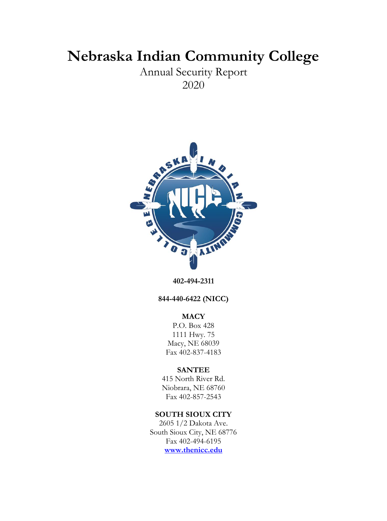# **Nebraska Indian Community College**

Annual Security Report 2020



**402-494-2311**

**844-440-6422 (NICC)**

# **MACY**

P.O. Box 428 1111 Hwy. 75 Macy, NE 68039 Fax 402-837-4183

# **SANTEE**

415 North River Rd. Niobrara, NE 68760 Fax 402-857-2543

# **SOUTH SIOUX CITY**

2605 1/2 Dakota Ave. South Sioux City, NE 68776 Fax 402-494-6195 **[www.thenicc.edu](http://www.thenicc.edu/)**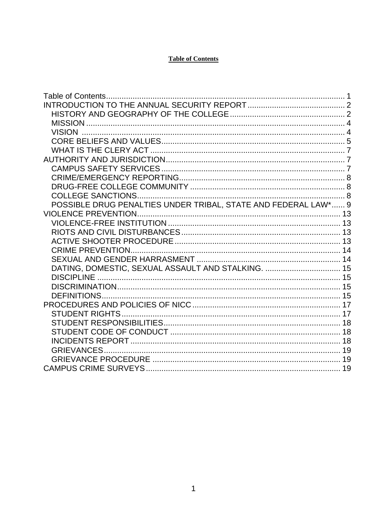# **Table of Contents**

| POSSIBLE DRUG PENALTIES UNDER TRIBAL, STATE AND FEDERAL LAW* 9 |  |
|----------------------------------------------------------------|--|
|                                                                |  |
|                                                                |  |
|                                                                |  |
|                                                                |  |
|                                                                |  |
|                                                                |  |
| DATING, DOMESTIC, SEXUAL ASSAULT AND STALKING.  15             |  |
|                                                                |  |
|                                                                |  |
|                                                                |  |
|                                                                |  |
|                                                                |  |
|                                                                |  |
|                                                                |  |
|                                                                |  |
|                                                                |  |
|                                                                |  |
|                                                                |  |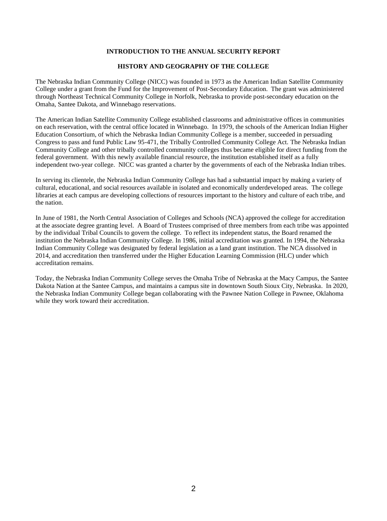#### **INTRODUCTION TO THE ANNUAL SECURITY REPORT**

#### **HISTORY AND GEOGRAPHY OF THE COLLEGE**

The Nebraska Indian Community College (NICC) was founded in 1973 as the American Indian Satellite Community College under a grant from the Fund for the Improvement of Post-Secondary Education. The grant was administered through Northeast Technical Community College in Norfolk, Nebraska to provide post-secondary education on the Omaha, Santee Dakota, and Winnebago reservations.

The American Indian Satellite Community College established classrooms and administrative offices in communities on each reservation, with the central office located in Winnebago. In 1979, the schools of the American Indian Higher Education Consortium, of which the Nebraska Indian Community College is a member, succeeded in persuading Congress to pass and fund Public Law 95-471, the Tribally Controlled Community College Act. The Nebraska Indian Community College and other tribally controlled community colleges thus became eligible for direct funding from the federal government. With this newly available financial resource, the institution established itself as a fully independent two-year college. NICC was granted a charter by the governments of each of the Nebraska Indian tribes.

In serving its clientele, the Nebraska Indian Community College has had a substantial impact by making a variety of cultural, educational, and social resources available in isolated and economically underdeveloped areas. The college libraries at each campus are developing collections of resources important to the history and culture of each tribe, and the nation.

In June of 1981, the North Central Association of Colleges and Schools (NCA) approved the college for accreditation at the associate degree granting level. A Board of Trustees comprised of three members from each tribe was appointed by the individual Tribal Councils to govern the college. To reflect its independent status, the Board renamed the institution the Nebraska Indian Community College. In 1986, initial accreditation was granted. In 1994, the Nebraska Indian Community College was designated by federal legislation as a land grant institution. The NCA dissolved in 2014, and accreditation then transferred under the Higher Education Learning Commission (HLC) under which accreditation remains.

Today, the Nebraska Indian Community College serves the Omaha Tribe of Nebraska at the Macy Campus, the Santee Dakota Nation at the Santee Campus, and maintains a campus site in downtown South Sioux City, Nebraska. In 2020, the Nebraska Indian Community College began collaborating with the Pawnee Nation College in Pawnee, Oklahoma while they work toward their accreditation.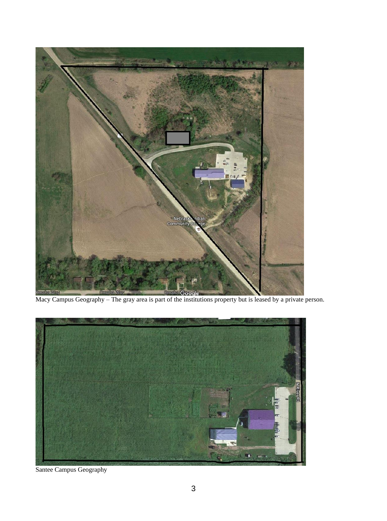



Santee Campus Geography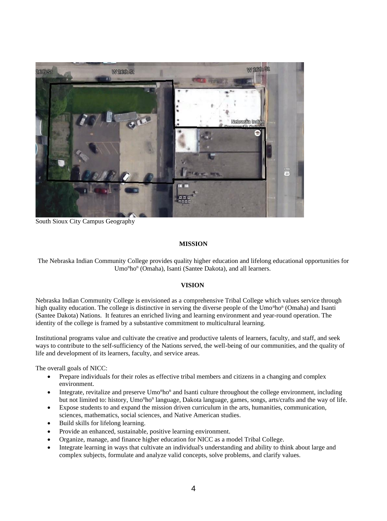

South Sioux City Campus Geography

## **MISSION**

The Nebraska Indian Community College provides quality higher education and lifelong educational opportunities for Umo<sup>n</sup>ho<sup>n</sup> (Omaha), Isanti (Santee Dakota), and all learners.

## **VISION**

Nebraska Indian Community College is envisioned as a comprehensive Tribal College which values service through high quality education. The college is distinctive in serving the diverse people of the Umo<sup>n</sup>ho<sup>n</sup> (Omaha) and Isanti (Santee Dakota) Nations. It features an enriched living and learning environment and year-round operation. The identity of the college is framed by a substantive commitment to multicultural learning.

Institutional programs value and cultivate the creative and productive talents of learners, faculty, and staff, and seek ways to contribute to the self-sufficiency of the Nations served, the well-being of our communities, and the quality of life and development of its learners, faculty, and service areas.

The overall goals of NICC:

- Prepare individuals for their roles as effective tribal members and citizens in a changing and complex environment.
- Integrate, revitalize and preserve Umo<sup>n</sup>ho<sup>n</sup> and Isanti culture throughout the college environment, including but not limited to: history, Umo<sup>n</sup>ho<sup>n</sup> language, Dakota language, games, songs, arts/crafts and the way of life.
- Expose students to and expand the mission driven curriculum in the arts, humanities, communication, sciences, mathematics, social sciences, and Native American studies.
- Build skills for lifelong learning.
- Provide an enhanced, sustainable, positive learning environment.
- Organize, manage, and finance higher education for NICC as a model Tribal College.
- Integrate learning in ways that cultivate an individual's understanding and ability to think about large and complex subjects, formulate and analyze valid concepts, solve problems, and clarify values.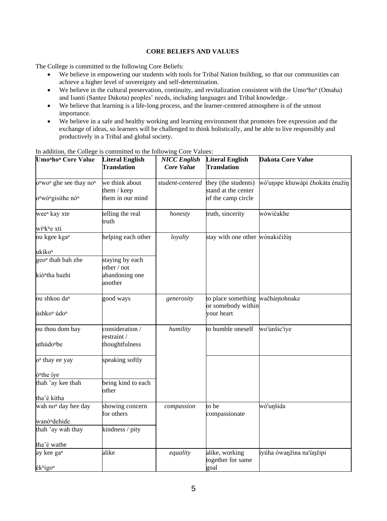## **CORE BELIEFS AND VALUES**

The College is committed to the following Core Beliefs:

- We believe in empowering our students with tools for Tribal Nation building, so that our communities can achieve a higher level of sovereignty and self-determination.
- We believe in the cultural preservation, continuity, and revitalization consistent with the Umo<sup>n</sup>ho<sup>n</sup> (Omaha) and Isanti (Santee Dakota) peoples' needs, including languages and Tribal knowledge.
- We believe that learning is a life-long process, and the learner-centered atmosphere is of the utmost importance.
- We believe in a safe and healthy working and learning environment that promotes free expression and the exchange of ideas, so learners will be challenged to think holistically, and be able to live responsibly and productively in a Tribal and global society.

| <b>Umonhon</b> Core Value                                   | <b>Literal English</b>         | <b>NICC</b> English | <b>Literal English</b>                                 | <b>Dakota Core Value</b>        |
|-------------------------------------------------------------|--------------------------------|---------------------|--------------------------------------------------------|---------------------------------|
|                                                             | Translation                    | Core Value          | <b>Translation</b>                                     |                                 |
| o <sup>n</sup> wo <sup>n</sup> ghe see thay no <sup>n</sup> | we think about<br>them / keep  | student-centered    | they (the students)<br>stand at the center             | wó'unspe khuwápi čhokáta énažin |
| o <sup>n</sup> wó <sup>n</sup> gisithe nó <sup>n</sup>      | them in our mind               |                     | of the camp circle                                     |                                 |
| wee <sup>n</sup> kay xte                                    | telling the real<br>truth      | honesty             | truth, sincerity                                       | wówičakhe                       |
| wí <sup>n</sup> k <sup>h</sup> e xti                        |                                |                     |                                                        |                                 |
| ou kgee kgan                                                | helping each other             | loyalty             | stay with one other wónakičižin                        |                                 |
| ukíko <sup>n</sup>                                          |                                |                     |                                                        |                                 |
| geo <sup>n</sup> thah bah zhe                               | staying by each<br>other / not |                     |                                                        |                                 |
| kió <sup>n</sup> tha bazhi                                  | abandoning one<br>another      |                     |                                                        |                                 |
| ou shkou da <sup>n</sup>                                    | good ways                      | generosity          | to place something wačhántohnake<br>or somebody within |                                 |
| úshko <sup>n</sup> údo <sup>n</sup>                         |                                |                     | your heart                                             |                                 |
| ou thou dom bay                                             | consideration /<br>restraint / | humility            | to humble oneself                                      | wo'únšic'iye                    |
| uthúdo <sup>n</sup> be                                      | thoughtfulness                 |                     |                                                        |                                 |
| o <sup>n</sup> thay ee yay                                  | speaking softly                |                     |                                                        |                                 |
| ó <sup>n</sup> the íye                                      |                                |                     |                                                        |                                 |
| thah 'ay kee thah                                           | being kind to each<br>other    |                     |                                                        |                                 |
| tha'é kitha                                                 |                                |                     |                                                        |                                 |
| wah no <sup>n</sup> day hee day                             | showing concern<br>for others  | compassion          | to be<br>compassionate                                 | wó'unšida                       |
| wanó <sup>n</sup> dehide                                    |                                |                     |                                                        |                                 |
| thah 'ay wah thay                                           | kindness / pity                |                     |                                                        |                                 |
| tha'é wathe                                                 |                                |                     |                                                        |                                 |
| ay kee gan                                                  | alike                          | equality            | alike, working<br>together for same                    | iyúha ówanžina na'únžipi        |
| ékhigon                                                     |                                |                     | goal                                                   |                                 |

In addition, the College is committed to the following Core Values: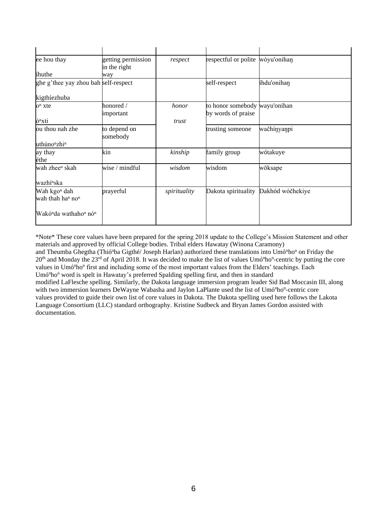| ee hou thay                                               | getting permission<br>in the right | respect      | respectful or polite wóyu'onihan                    |                  |
|-----------------------------------------------------------|------------------------------------|--------------|-----------------------------------------------------|------------------|
| ihuthe                                                    | way                                |              |                                                     |                  |
| ghe g'thee yay zhou bah self-respect                      |                                    |              | self-respect                                        | íhdu'onihan      |
| kigthíezhuba                                              |                                    |              |                                                     |                  |
| $on$ xte                                                  | honored /<br>important             | honor        | to honor somebody wayu'onihan<br>by words of praise |                  |
| ó <sup>n</sup> xti                                        |                                    | trust        |                                                     |                  |
| ou thou nah zhe                                           | to depend on<br>somebody           |              | trusting someone                                    | wačhínyanpi      |
| uthúno <sup>n</sup> zhi <sup>n</sup>                      |                                    |              |                                                     |                  |
| ay thay<br>éthe                                           | kin                                | kinship      | family group                                        | wótakuye         |
| wah zhee <sup>n</sup> skah                                | wise / mindful                     | wisdom       | wisdom                                              | wōksape          |
| wazhí <sup>n</sup> ska                                    |                                    |              |                                                     |                  |
| Wah kgo <sup>n</sup> dah<br>wah thah han non              | prayerful                          | spirituality | Dakota spirituality                                 | Dakhód wóčhekiye |
| Wakó <sup>n</sup> da wathaho <sup>n</sup> nó <sup>n</sup> |                                    |              |                                                     |                  |

\*Note\* These core values have been prepared for the spring 2018 update to the College's Mission Statement and other materials and approved by official College bodies. Tribal elders Hawatay (Winona Caramony) and Theumba Ghegtha (Thió<sup>n</sup>ba Gigthé/ Joseph Harlan) authorized these translations into Umó<sup>n</sup>ho<sup>n</sup> on Friday the 20<sup>th</sup> and Monday the 23<sup>rd</sup> of April 2018. It was decided to make the list of values Umó<sup>n</sup>ho<sup>n</sup>-centric by putting the core values in Umó<sup>n</sup>ho<sup>n</sup> first and including some of the most important values from the Elders' teachings. Each Umó<sup>n</sup>ho<sup>n</sup> word is spelt in Hawatay's preferred Spalding spelling first, and then in standard modified LaFlesche spelling. Similarly, the Dakota language immersion program leader Sid Bad Moccasin III, along with two immersion learners DeWayne Wabasha and Jaylon LaPlante used the list of Umó<sup>n</sup>ho<sup>n</sup>-centric core values provided to guide their own list of core values in Dakota. The Dakota spelling used here follows the Lakota Language Consortium (LLC) standard orthography. Kristine Sudbeck and Bryan James Gordon assisted with documentation.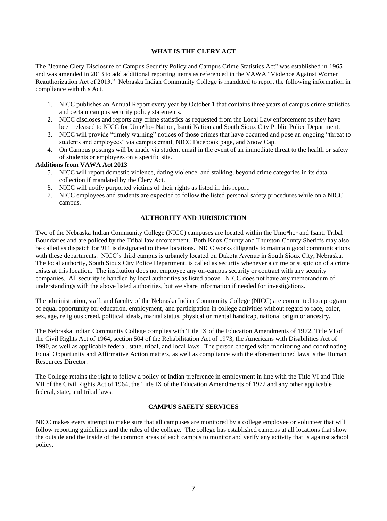## **WHAT IS THE CLERY ACT**

The "Jeanne Clery Disclosure of Campus Security Policy and Campus Crime Statistics Act" was established in 1965 and was amended in 2013 to add additional reporting items as referenced in the VAWA "Violence Against Women Reauthorization Act of 2013." Nebraska Indian Community College is mandated to report the following information in compliance with this Act.

- 1. NICC publishes an Annual Report every year by October 1 that contains three years of campus crime statistics and certain campus security policy statements.
- 2. NICC discloses and reports any crime statistics as requested from the Local Law enforcement as they have been released to NICC for Umo<sup>n</sup>ho- Nation, Isanti Nation and South Sioux City Public Police Department.
- 3. NICC will provide "timely warning" notices of those crimes that have occurred and pose an ongoing "threat to students and employees" via campus email, NICC Facebook page, and Snow Cap.
- 4. On Campus postings will be made via student email in the event of an immediate threat to the health or safety of students or employees on a specific site.

#### **Additions from VAWA Act 2013**

- 5. NICC will report domestic violence, dating violence, and stalking, beyond crime categories in its data collection if mandated by the Clery Act.
- 6. NICC will notify purported victims of their rights as listed in this report.
- 7. NICC employees and students are expected to follow the listed personal safety procedures while on a NICC campus.

## **AUTHORITY AND JURISDICTION**

Two of the Nebraska Indian Community College (NICC) campuses are located within the Umo<sup>n</sup>ho<sup>n</sup> and Isanti Tribal Boundaries and are policed by the Tribal law enforcement. Both Knox County and Thurston County Sheriffs may also be called as dispatch for 911 is designated to these locations. NICC works diligently to maintain good communications with these departments. NICC's third campus is urbanely located on Dakota Avenue in South Sioux City, Nebraska. The local authority, South Sioux City Police Department, is called as security whenever a crime or suspicion of a crime exists at this location. The institution does not employee any on-campus security or contract with any security companies. All security is handled by local authorities as listed above. NICC does not have any memorandum of understandings with the above listed authorities, but we share information if needed for investigations.

The administration, staff, and faculty of the Nebraska Indian Community College (NICC) are committed to a program of equal opportunity for education, employment, and participation in college activities without regard to race, color, sex, age, religious creed, political ideals, marital status, physical or mental handicap, national origin or ancestry.

The Nebraska Indian Community College complies with Title IX of the Education Amendments of 1972, Title VI of the Civil Rights Act of 1964, section 504 of the Rehabilitation Act of 1973, the Americans with Disabilities Act of 1990, as well as applicable federal, state, tribal, and local laws. The person charged with monitoring and coordinating Equal Opportunity and Affirmative Action matters, as well as compliance with the aforementioned laws is the Human Resources Director.

The College retains the right to follow a policy of Indian preference in employment in line with the Title VI and Title VII of the Civil Rights Act of 1964, the Title IX of the Education Amendments of 1972 and any other applicable federal, state, and tribal laws.

#### **CAMPUS SAFETY SERVICES**

NICC makes every attempt to make sure that all campuses are monitored by a college employee or volunteer that will follow reporting guidelines and the rules of the college. The college has established cameras at all locations that show the outside and the inside of the common areas of each campus to monitor and verify any activity that is against school policy.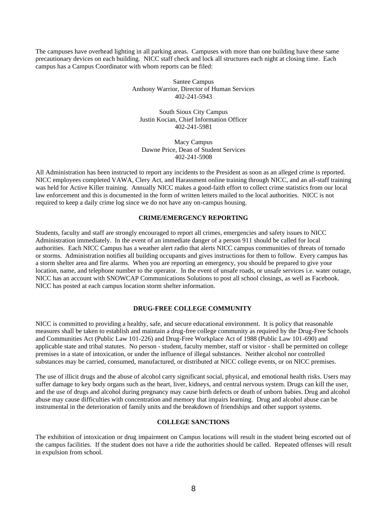The campuses have overhead lighting in all parking areas. Campuses with more than one building have these same precautionary devices on each building. NICC staff check and lock all structures each night at closing time. Each campus has a Campus Coordinator with whom reports can be filed:

> Santee Campus Anthony Warrior, Director of Human Services 402-241-5943

South Sioux City Campus Justin Kocian, Chief Information Officer 402-241-5981

Macy Campus Dawne Price, Dean of Student Services 402-241-5908

All Administration has been instructed to report any incidents to the President as soon as an alleged crime is reported. NICC employees completed VAWA, Clery Act, and Harassment online training through NICC, and an all-staff training was held for Active Killer training. Annually NICC makes a good-faith effort to collect crime statistics from our local law enforcement and this is documented in the form of written letters mailed to the local authorities. NICC is not required to keep a daily crime log since we do not have any on-campus housing.

## **CRIME/EMERGENCY REPORTING**

Students, faculty and staff are strongly encouraged to report all crimes, emergencies and safety issues to NICC Administration immediately. In the event of an immediate danger of a person 911 should be called for local authorities. Each NICC Campus has a weather alert radio that alerts NICC campus communities of threats of tornado or storms. Administration notifies all building occupants and gives instructions for them to follow. Every campus has a storm shelter area and fire alarms. When you are reporting an emergency, you should be prepared to give your location, name, and telephone number to the operator. In the event of unsafe roads, or unsafe services i.e. water outage, NICC has an account with SNOWCAP Communications Solutions to post all school closings, as well as Facebook. NICC has posted at each campus location storm shelter information.

#### **DRUG-FREE COLLEGE COMMUNITY**

NICC is committed to providing a healthy, safe, and secure educational environment. It is policy that reasonable measures shall be taken to establish and maintain a drug-free college community as required by the Drug-Free Schools and Communities Act (Public Law 101-226) and Drug-Free Workplace Act of 1988 (Public Law 101-690) and applicable state and tribal statutes. No person - student, faculty member, staff or visitor - shall be permitted on college premises in a state of intoxication, or under the influence of illegal substances. Neither alcohol nor controlled substances may be carried, consumed, manufactured, or distributed at NICC college events, or on NICC premises.

The use of illicit drugs and the abuse of alcohol carry significant social, physical, and emotional health risks. Users may suffer damage to key body organs such as the heart, liver, kidneys, and central nervous system. Drugs can kill the user, and the use of drugs and alcohol during pregnancy may cause birth defects or death of unborn babies. Drug and alcohol abuse may cause difficulties with concentration and memory that impairs learning. Drug and alcohol abuse can be instrumental in the deterioration of family units and the breakdown of friendships and other support systems.

#### **COLLEGE SANCTIONS**

The exhibition of intoxication or drug impairment on Campus locations will result in the student being escorted out of the campus facilities. If the student does not have a ride the authorities should be called. Repeated offenses will result in expulsion from school.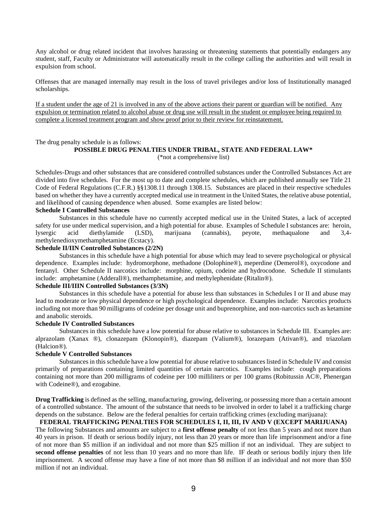Any alcohol or drug related incident that involves harassing or threatening statements that potentially endangers any student, staff, Faculty or Administrator will automatically result in the college calling the authorities and will result in expulsion from school.

Offenses that are managed internally may result in the loss of travel privileges and/or loss of Institutionally managed scholarships.

If a student under the age of 21 is involved in any of the above actions their parent or guardian will be notified. Any expulsion or termination related to alcohol abuse or drug use will result in the student or employee being required to complete a licensed treatment program and show proof prior to their review for reinstatement.

The drug penalty schedule is as follows:

#### **POSSIBLE DRUG PENALTIES UNDER TRIBAL, STATE AND FEDERAL LAW\*** (\*not a comprehensive list)

Schedules-Drugs and other substances that are considered controlled substances under the Controlled Substances Act are divided into five schedules. For the most up to date and complete schedules, which are published annually see Title 21 Code of Federal Regulations (C.F.R.) §§1308.11 through 1308.15. Substances are placed in their respective schedules based on whether they have a currently accepted medical use in treatment in the United States, the relative abuse potential, and likelihood of causing dependence when abused. Some examples are listed below:

## **Schedule I Controlled Substances**

Substances in this schedule have no currently accepted medical use in the United States, a lack of accepted safety for use under medical supervision, and a high potential for abuse. Examples of Schedule I substances are: heroin, lysergic acid diethylamide (LSD), marijuana (cannabis), peyote, methaqualone and 3,4 methylenedioxymethamphetamine (Ecstacy).

#### **Schedule II/IIN Controlled Substances (2/2N)**

Substances in this schedule have a high potential for abuse which may lead to severe psychological or physical dependence. Examples include: hydromorphone, methadone (Dolophine®), meperdine (Demerol®), oxycodone and fentanyl. Other Schedule II narcotics include: morphine, opium, codeine and hydrocodone. Schedule II stimulants include: amphetamine (Adderall®), methamphetamine, and methylephenidate (Ritalin®).

## **Schedule III/IIIN Controlled Substances (3/3N)**

Substances in this schedule have a potential for abuse less than substances in Schedules I or II and abuse may lead to moderate or low physical dependence or high psychological dependence. Examples include: Narcotics products including not more than 90 milligrams of codeine per dosage unit and buprenorphine, and non-narcotics such as ketamine and anabolic steroids.

#### **Schedule IV Controlled Substances**

Substances in this schedule have a low potential for abuse relative to substances in Schedule III. Examples are: alprazolam (Xanax ®), clonazepam (Klonopin®), diazepam (Valium®), lorazepam (Ativan®), and triazolam (Halcion®).

## **Schedule V Controlled Substances**

Substances in this schedule have a low potential for abuse relative to substances listed in Schedule IV and consist primarily of preparations containing limited quantities of certain narcotics. Examples include: cough preparations containing not more than 200 milligrams of codeine per 100 milliliters or per 100 grams (Robitussin AC®, Phenergan with Codeine®), and ezogabine.

**Drug Trafficking** is defined as the selling, manufacturing, growing, delivering, or possessing more than a certain amount of a controlled substance. The amount of the substance that needs to be involved in order to label it a trafficking charge depends on the substance. Below are the federal penalties for certain trafficking crimes (excluding marijuana):

#### **FEDERAL TRAFFICKING PENALTIES FOR SCHEDULES I, II, III, IV AND V (EXCEPT MARIJUANA)**

The following Substances and amounts are subject to a **first offense penalty** of not less than 5 years and not more than 40 years in prison. If death or serious bodily injury, not less than 20 years or more than life imprisonment and/or a fine of not more than \$5 million if an individual and not more than \$25 million if not an individual. They are subject to second offense penalties of not less than 10 years and no more than life. IF death or serious bodily injury then life imprisonment. A second offense may have a fine of not more than \$8 million if an individual and not more than \$50 million if not an individual.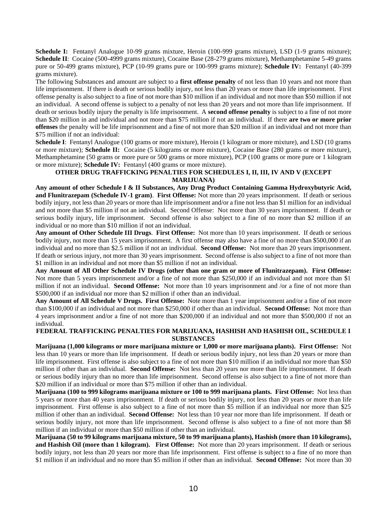**Schedule I:** Fentanyl Analogue 10-99 grams mixture, Heroin (100-999 grams mixture), LSD (1-9 grams mixture); **Schedule II**: Cocaine (500-4999 grams mixture), Cocaine Base (28-279 grams mixture), Methamphetamine 5-49 grams pure or 50-499 grams mixture), PCP (10-99 grams pure or 100-999 grams mixture); **Schedule IV:** Fentanyl (40-399 grams mixture).

The following Substances and amount are subject to a **first offense penalty** of not less than 10 years and not more than life imprisonment. If there is death or serious bodily injury, not less than 20 years or more than life imprisonment. First offense penalty is also subject to a fine of not more than \$10 million if an individual and not more than \$50 million if not an individual. A second offense is subject to a penalty of not less than 20 years and not more than life imprisonment. If death or serious bodily injury the penalty is life imprisonment. A **second offense penalty** is subject to a fine of not more than \$20 million in and individual and not more than \$75 million if not an individual. If there **are two or more prior offenses** the penalty will be life imprisonment and a fine of not more than \$20 million if an individual and not more than \$75 million if not an individual:

**Schedule I**: Fentanyl Analogue (100 grams or more mixture), Heroin (1 kilogram or more mixture), and LSD (10 grams or more mixture); **Schedule II:** Cocaine (5 kilograms or more mixture), Cocaine Base (280 grams or more mixture), Methamphetamine (50 grams or more pure or 500 grams or more mixture), PCP (100 grams or more pure or 1 kilogram or more mixture); **Schedule IV:** Fentanyl (400 grams or more mixture).

## **OTHER DRUG TRAFFICKING PENALTIES FOR SCHEDULES I, II, III, IV AND V (EXCEPT MARIJUANA)**

**Any amount of other Schedule I & II Substances, Any Drug Product Containing Gamma Hydroxybutyric Acid, and Flunitrazepam (Schedule IV-1 gram)**. **First Offense:** Not more than 20 years imprisonment. If death or serious bodily injury, not less than 20 years or more than life imprisonment and/or a fine not less than \$1 million for an individual and not more than \$5 million if not an individual. Second Offense: Not more than 30 years imprisonment. If death or serious bodily injury, life imprisonment. Second offense is also subject to a fine of no more than \$2 million if an individual or no more than \$10 million if not an individual.

**Any amount of Other Schedule III Drugs**. **First Offense:** Not more than 10 years imprisonment. If death or serious bodily injury, not more than 15 years imprisonment. A first offense may also have a fine of no more than \$500,000 if an individual and no more than \$2.5 million if not an individual. **Second Offense:** Not more than 20 years imprisonment. If death or serious injury, not more than 30 years imprisonment. Second offense is also subject to a fine of not more than \$1 million in an individual and not more than \$5 million if not an individual.

**Any Amount of All Other Schedule IV Drugs (other than one gram or more of Flunitrazepam). First Offense:** Not more than 5 years imprisonment and/or a fine of not more than \$250,000 if an individual and not more than \$1 million if not an individual. **Second Offense:** Not more than 10 years imprisonment and /or a fine of not more than \$500,000 if an individual nor more than \$2 million if other than an individual.

**Any Amount of All Schedule V Drugs. First Offense:** Note more than 1 year imprisonment and/or a fine of not more than \$100,000 if an individual and not more than \$250,000 if other than an individual. **Second Offense:** Not more than 4 years imprisonment and/or a fine of not more than \$200,000 if an individual and not more than \$500,000 if not an individual.

## **FEDERAL TRAFFICKING PENALTIES FOR MARIJUANA, HASHISH AND HASHISH OIL, SCHEDULE I SUBSTANCES**

**Marijuana (1,000 kilograms or more marijuana mixture or 1,000 or more marijuana plants). First Offense:** Not less than 10 years or more than life imprisonment. If death or serious bodily injury, not less than 20 years or more than life imprisonment. First offense is also subject to a fine of not more than \$10 million if an individual nor more than \$50 million if other than an individual. **Second Offense:** Not less than 20 years nor more than life imprisonment. If death or serious bodily injury than no more than life imprisonment. Second offense is also subject to a fine of not more than \$20 million if an individual or more than \$75 million if other than an individual.

**Marijuana (100 to 999 kilograms marijuana mixture or 100 to 999 marijuana plants. First Offense:** Not less than 5 years or more than 40 years imprisonment. If death or serious bodily injury, not less than 20 years or more than life imprisonment. First offense is also subject to a fine of not more than \$5 million if an individual nor more than \$25 million if other than an individual. **Second Offense:** Not less than 10 year nor more than life imprisonment. If death or serious bodily injury, not more than life imprisonment. Second offense is also subject to a fine of not more than \$8 million if an individual or more than \$50 million if other than an individual.

**Marijuana (50 to 99 kilograms marijuana mixture, 50 to 99 marijuana plants), Hashish (more than 10 kilograms), and Hashish Oil (more than 1 kilogram). First Offense:** Not more than 20 years imprisonment. If death or serious bodily injury, not less than 20 years nor more than life imprisonment. First offense is subject to a fine of no more than \$1 million if an individual and no more than \$5 million if other than an individual. **Second Offense:** Not more than 30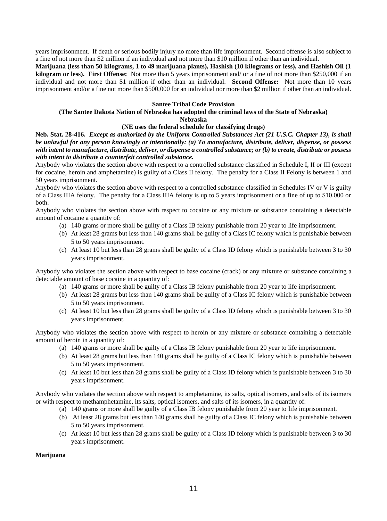years imprisonment. If death or serious bodily injury no more than life imprisonment. Second offense is also subject to a fine of not more than \$2 million if an individual and not more than \$10 million if other than an individual.

**Marijuana (less than 50 kilograms, 1 to 49 marijuana plants), Hashish (10 kilograms or less), and Hashish Oil (1 kilogram or less). First Offense:** Not more than 5 years imprisonment and/ or a fine of not more than \$250,000 if an individual and not more than \$1 million if other than an individual. **Second Offense:** Not more than 10 years imprisonment and/or a fine not more than \$500,000 for an individual nor more than \$2 million if other than an individual.

## **Santee Tribal Code Provision**

#### **(The Santee Dakota Nation of Nebraska has adopted the criminal laws of the State of Nebraska) Nebraska**

#### **(NE uses the federal schedule for classifying drugs)**

**Neb. Stat. 28-416.** *Except as authorized by the Uniform Controlled Substances Act (21 U.S.C. Chapter 13), is shall be unlawful for any person knowingly or intentionally: (a) To manufacture, distribute, deliver, dispense, or possess with intent to manufacture, distribute, deliver, or dispense a controlled substance; or (b) to create, distribute or possess with intent to distribute a counterfeit controlled substance.*

Anybody who violates the section above with respect to a controlled substance classified in Schedule I, II or III (except for cocaine, heroin and amphetamine) is guilty of a Class II felony. The penalty for a Class II Felony is between 1 and 50 years imprisonment.

Anybody who violates the section above with respect to a controlled substance classified in Schedules IV or V is guilty of a Class IIIA felony. The penalty for a Class IIIA felony is up to 5 years imprisonment or a fine of up to \$10,000 or both.

Anybody who violates the section above with respect to cocaine or any mixture or substance containing a detectable amount of cocaine a quantity of:

- (a) 140 grams or more shall be guilty of a Class IB felony punishable from 20 year to life imprisonment.
- (b) At least 28 grams but less than 140 grams shall be guilty of a Class IC felony which is punishable between 5 to 50 years imprisonment.
- (c) At least 10 but less than 28 grams shall be guilty of a Class ID felony which is punishable between 3 to 30 years imprisonment.

Anybody who violates the section above with respect to base cocaine (crack) or any mixture or substance containing a detectable amount of base cocaine in a quantity of:

- (a) 140 grams or more shall be guilty of a Class IB felony punishable from 20 year to life imprisonment.
- (b) At least 28 grams but less than 140 grams shall be guilty of a Class IC felony which is punishable between 5 to 50 years imprisonment.
- (c) At least 10 but less than 28 grams shall be guilty of a Class ID felony which is punishable between 3 to 30 years imprisonment.

Anybody who violates the section above with respect to heroin or any mixture or substance containing a detectable amount of heroin in a quantity of:

- (a) 140 grams or more shall be guilty of a Class IB felony punishable from 20 year to life imprisonment.
- (b) At least 28 grams but less than 140 grams shall be guilty of a Class IC felony which is punishable between 5 to 50 years imprisonment.
- (c) At least 10 but less than 28 grams shall be guilty of a Class ID felony which is punishable between 3 to 30 years imprisonment.

Anybody who violates the section above with respect to amphetamine, its salts, optical isomers, and salts of its isomers or with respect to methamphetamine, its salts, optical isomers, and salts of its isomers, in a quantity of:

- (a) 140 grams or more shall be guilty of a Class IB felony punishable from 20 year to life imprisonment.
- (b) At least 28 grams but less than 140 grams shall be guilty of a Class IC felony which is punishable between 5 to 50 years imprisonment.
- (c) At least 10 but less than 28 grams shall be guilty of a Class ID felony which is punishable between 3 to 30 years imprisonment.

## **Marijuana**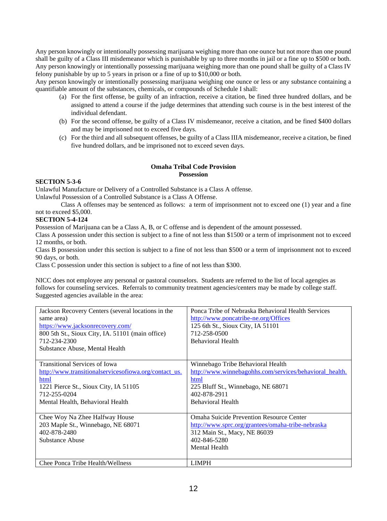Any person knowingly or intentionally possessing marijuana weighing more than one ounce but not more than one pound shall be guilty of a Class III misdemeanor which is punishable by up to three months in jail or a fine up to \$500 or both. Any person knowingly or intentionally possessing marijuana weighing more than one pound shall be guilty of a Class IV felony punishable by up to 5 years in prison or a fine of up to \$10,000 or both.

Any person knowingly or intentionally possessing marijuana weighing one ounce or less or any substance containing a quantifiable amount of the substances, chemicals, or compounds of Schedule I shall:

- (a) For the first offense, be guilty of an infraction, receive a citation, be fined three hundred dollars, and be assigned to attend a course if the judge determines that attending such course is in the best interest of the individual defendant.
- (b) For the second offense, be guilty of a Class IV misdemeanor, receive a citation, and be fined \$400 dollars and may be imprisoned not to exceed five days.
- (c) For the third and all subsequent offenses, be guilty of a Class IIIA misdemeanor, receive a citation, be fined five hundred dollars, and be imprisoned not to exceed seven days.

## **Omaha Tribal Code Provision Possession**

## **SECTION 5-3-6**

Unlawful Manufacture or Delivery of a Controlled Substance is a Class A offense.

Unlawful Possession of a Controlled Substance is a Class A Offense.

Class A offenses may be sentenced as follows: a term of imprisonment not to exceed one (1) year and a fine not to exceed \$5,000.

## **SECTION 5-4-124**

Possession of Marijuana can be a Class A, B, or C offense and is dependent of the amount possessed.

Class A possession under this section is subject to a fine of not less than \$1500 or a term of imprisonment not to exceed 12 months, or both.

Class B possession under this section is subject to a fine of not less than \$500 or a term of imprisonment not to exceed 90 days, or both.

Class C possession under this section is subject to a fine of not less than \$300.

NICC does not employee any personal or pastoral counselors. Students are referred to the list of local agengies as follows for counseling services. Referrals to community treatment agencies/centers may be made by college staff. Suggested agencies available in the area:

| Jackson Recovery Centers (several locations in the<br>same area)<br>https://www.jacksonrecovery.com/<br>800 5th St., Sioux City, IA. 51101 (main office)<br>712-234-2300<br>Substance Abuse, Mental Health | Ponca Tribe of Nebraska Behavioral Health Services<br>http://www.poncatribe-ne.org/Offices<br>125 6th St., Sioux City, IA 51101<br>712-258-0500<br><b>Behavioral Health</b> |
|------------------------------------------------------------------------------------------------------------------------------------------------------------------------------------------------------------|-----------------------------------------------------------------------------------------------------------------------------------------------------------------------------|
| <b>Transitional Services of Iowa</b>                                                                                                                                                                       | Winnebago Tribe Behavioral Health                                                                                                                                           |
| http://www.transitionalservicesofiowa.org/contact_us.                                                                                                                                                      | http://www.winnebagohhs.com/services/behavioral_health.                                                                                                                     |
| html                                                                                                                                                                                                       | html                                                                                                                                                                        |
| 1221 Pierce St., Sioux City, IA 51105                                                                                                                                                                      | 225 Bluff St., Winnebago, NE 68071                                                                                                                                          |
| 712-255-0204                                                                                                                                                                                               | 402-878-2911                                                                                                                                                                |
| Mental Health, Behavioral Health                                                                                                                                                                           | <b>Behavioral Health</b>                                                                                                                                                    |
|                                                                                                                                                                                                            |                                                                                                                                                                             |
| Chee Woy Na Zhee Halfway House                                                                                                                                                                             | <b>Omaha Suicide Prevention Resource Center</b>                                                                                                                             |
| 203 Maple St., Winnebago, NE 68071                                                                                                                                                                         | http://www.sprc.org/grantees/omaha-tribe-nebraska                                                                                                                           |
| 402-878-2480                                                                                                                                                                                               | 312 Main St., Macy, NE 86039                                                                                                                                                |
| Substance Abuse                                                                                                                                                                                            | 402-846-5280                                                                                                                                                                |
|                                                                                                                                                                                                            | Mental Health                                                                                                                                                               |
|                                                                                                                                                                                                            |                                                                                                                                                                             |
| Chee Ponca Tribe Health/Wellness                                                                                                                                                                           | <b>LIMPH</b>                                                                                                                                                                |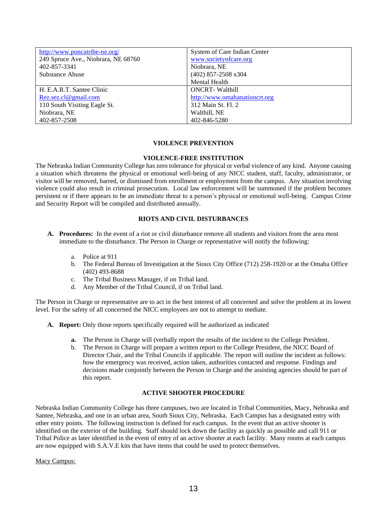| http://www.poncatribe-ne.org/       | System of Care Indian Center  |
|-------------------------------------|-------------------------------|
| 249 Spruce Ave., Niobrara, NE 68760 | www.societyofcare.org         |
| 402-857-3341                        | Niobrara, NE                  |
| Substance Abuse                     | $(402)$ 857-2508 x304         |
|                                     | <b>Mental Health</b>          |
| H. E.A.R.T. Santee Clinic           | <b>ONCRT-Walthill</b>         |
| Rez. sez. cl@gmail.com              | http://www.omahanationcrt.org |
| 110 South Visiting Eagle St.        | 312 Main St. Fl. 2            |
| Niobrara, NE                        | Walthill, NE                  |
| 402-857-2508                        | 402-846-5280                  |

## **VIOLENCE PREVENTION**

#### **VIOLENCE-FREE INSTITUTION**

The Nebraska Indian Community College has zero tolerance for physical or verbal violence of any kind. Anyone causing a situation which threatens the physical or emotional well-being of any NICC student, staff, faculty, administrator, or visitor will be removed, barred, or dismissed from enrollment or employment from the campus. Any situation involving violence could also result in criminal prosecution. Local law enforcement will be summoned if the problem becomes persistent or if there appears to be an immediate threat to a person's physical or emotional well-being. Campus Crime and Security Report will be compiled and distributed annually.

## **RIOTS AND CIVIL DISTURBANCES**

- **A. Procedures:** In the event of a riot or civil disturbance remove all students and visitors from the area most immediate to the disturbance. The Person in Charge or representative will notify the following:
	- a. Police at 911
	- b. The Federal Bureau of Investigation at the Sioux City Office (712) 258-1920 or at the Omaha Office (402) 493-8688
	- c. The Tribal Business Manager, if on Tribal land.
	- d. Any Member of the Tribal Council, if on Tribal land.

The Person in Charge or representative are to act in the best interest of all concerned and solve the problem at its lowest level. For the safety of all concerned the NICC employees are not to attempt to mediate.

- **A. Report:** Only those reports specifically required will be authorized as indicated
	- **a.** The Person in Charge will (verbally report the results of the incident to the College President.
	- b. The Person in Charge will prepare a written report to the College President, the NICC Board of Director Chair, and the Tribal Councils if applicable. The report will outline the incident as follows: how the emergency was received, action taken, authorities contacted and response. Findings and decisions made conjointly between the Person in Charge and the assisting agencies should be part of this report.

## **ACTIVE SHOOTER PROCEDURE**

Nebraska Indian Community College has three campuses, two are located in Tribal Communities, Macy, Nebraska and Santee, Nebraska, and one in an urban area, South Sioux City, Nebraska. Each Campus has a designated entry with other entry points. The following instruction is defined for each campus. In the event that an active shooter is identified on the exterior of the building. Staff should lock down the facility as quickly as possible and call 911 or Tribal Police as later identified in the event of entry of an active shooter at each facility. Many rooms at each campus are now equipped with S.A.V.E kits that have items that could be used to protect themselves.

Macy Campus: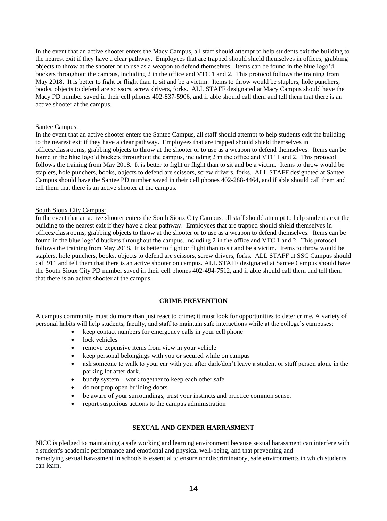In the event that an active shooter enters the Macy Campus, all staff should attempt to help students exit the building to the nearest exit if they have a clear pathway. Employees that are trapped should shield themselves in offices, grabbing objects to throw at the shooter or to use as a weapon to defend themselves. Items can be found in the blue logo'd buckets throughout the campus, including 2 in the office and VTC 1 and 2. This protocol follows the training from May 2018. It is better to fight or flight than to sit and be a victim. Items to throw would be staplers, hole punchers, books, objects to defend are scissors, screw drivers, forks. ALL STAFF designated at Macy Campus should have the Macy PD number saved in their cell phones 402-837-5906, and if able should call them and tell them that there is an active shooter at the campus.

#### Santee Campus:

In the event that an active shooter enters the Santee Campus, all staff should attempt to help students exit the building to the nearest exit if they have a clear pathway. Employees that are trapped should shield themselves in offices/classrooms, grabbing objects to throw at the shooter or to use as a weapon to defend themselves. Items can be found in the blue logo'd buckets throughout the campus, including 2 in the office and VTC 1 and 2. This protocol follows the training from May 2018. It is better to fight or flight than to sit and be a victim. Items to throw would be staplers, hole punchers, books, objects to defend are scissors, screw drivers, forks. ALL STAFF designated at Santee Campus should have the Santee PD number saved in their cell phones 402-288-4464, and if able should call them and tell them that there is an active shooter at the campus.

#### South Sioux City Campus:

In the event that an active shooter enters the South Sioux City Campus, all staff should attempt to help students exit the building to the nearest exit if they have a clear pathway. Employees that are trapped should shield themselves in offices/classrooms, grabbing objects to throw at the shooter or to use as a weapon to defend themselves. Items can be found in the blue logo'd buckets throughout the campus, including 2 in the office and VTC 1 and 2. This protocol follows the training from May 2018. It is better to fight or flight than to sit and be a victim. Items to throw would be staplers, hole punchers, books, objects to defend are scissors, screw drivers, forks. ALL STAFF at SSC Campus should call 911 and tell them that there is an active shooter on campus. ALL STAFF designated at Santee Campus should have the South Sioux City PD number saved in their cell phones 402-494-7512, and if able should call them and tell them that there is an active shooter at the campus.

## **CRIME PREVENTION**

A campus community must do more than just react to crime; it must look for opportunities to deter crime. A variety of personal habits will help students, faculty, and staff to maintain safe interactions while at the college's campuses:

- keep contact numbers for emergency calls in your cell phone
- lock vehicles
- remove expensive items from view in your vehicle
- keep personal belongings with you or secured while on campus
- ask someone to walk to your car with you after dark/don't leave a student or staff person alone in the parking lot after dark.
- buddy system work together to keep each other safe
- do not prop open building doors
- be aware of your surroundings, trust your instincts and practice common sense.
- report suspicious actions to the campus administration

### **SEXUAL AND GENDER HARRASMENT**

NICC is pledged to maintaining a safe working and learning environment because sexual harassment can interfere with a student's academic performance and emotional and physical well-being, and that preventing and remedying sexual harassment in schools is essential to ensure nondiscriminatory, safe environments in which students can learn.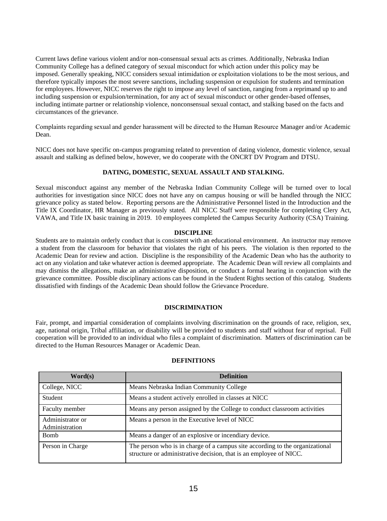Current laws define various violent and/or non-consensual sexual acts as crimes. Additionally, Nebraska Indian Community College has a defined category of sexual misconduct for which action under this policy may be imposed. Generally speaking, NICC considers sexual intimidation or exploitation violations to be the most serious, and therefore typically imposes the most severe sanctions, including suspension or expulsion for students and termination for employees. However, NICC reserves the right to impose any level of sanction, ranging from a reprimand up to and including suspension or expulsion/termination, for any act of sexual misconduct or other gender-based offenses, including intimate partner or relationship violence, nonconsensual sexual contact, and stalking based on the facts and circumstances of the grievance.

Complaints regarding sexual and gender harassment will be directed to the Human Resource Manager and/or Academic Dean.

NICC does not have specific on-campus programing related to prevention of dating violence, domestic violence, sexual assault and stalking as defined below, however, we do cooperate with the ONCRT DV Program and DTSU.

#### **DATING, DOMESTIC, SEXUAL ASSAULT AND STALKING.**

Sexual misconduct against any member of the Nebraska Indian Community College will be turned over to local authorities for investigation since NICC does not have any on campus housing or will be handled through the NICC grievance policy as stated below. Reporting persons are the Administrative Personnel listed in the Introduction and the Title IX Coordinator, HR Manager as previously stated. All NICC Staff were responsible for completing Clery Act, VAWA, and Title IX basic training in 2019. 10 employees completed the Campus Security Authority (CSA) Training.

#### **DISCIPLINE**

Students are to maintain orderly conduct that is consistent with an educational environment. An instructor may remove a student from the classroom for behavior that violates the right of his peers. The violation is then reported to the Academic Dean for review and action. Discipline is the responsibility of the Academic Dean who has the authority to act on any violation and take whatever action is deemed appropriate. The Academic Dean will review all complaints and may dismiss the allegations, make an administrative disposition, or conduct a formal hearing in conjunction with the grievance committee. Possible disciplinary actions can be found in the Student Rights section of this catalog. Students dissatisfied with findings of the Academic Dean should follow the Grievance Procedure.

#### **DISCRIMINATION**

Fair, prompt, and impartial consideration of complaints involving discrimination on the grounds of race, religion, sex, age, national origin, Tribal affiliation, or disability will be provided to students and staff without fear of reprisal. Full cooperation will be provided to an individual who files a complaint of discrimination. Matters of discrimination can be directed to the Human Resources Manager or Academic Dean.

| Word(s)                            | <b>Definition</b>                                                                                                                                  |
|------------------------------------|----------------------------------------------------------------------------------------------------------------------------------------------------|
| College, NICC                      | Means Nebraska Indian Community College                                                                                                            |
| Student                            | Means a student actively enrolled in classes at NICC                                                                                               |
| Faculty member                     | Means any person assigned by the College to conduct classroom activities                                                                           |
| Administrator or<br>Administration | Means a person in the Executive level of NICC                                                                                                      |
| <b>Bomb</b>                        | Means a danger of an explosive or incendiary device.                                                                                               |
| Person in Charge                   | The person who is in charge of a campus site according to the organizational<br>structure or administrative decision, that is an employee of NICC. |

#### **DEFINITIONS**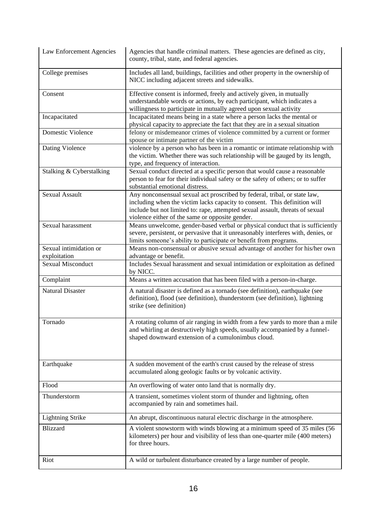| Law Enforcement Agencies               | Agencies that handle criminal matters. These agencies are defined as city,<br>county, tribal, state, and federal agencies.                                                                                                                                                                 |
|----------------------------------------|--------------------------------------------------------------------------------------------------------------------------------------------------------------------------------------------------------------------------------------------------------------------------------------------|
| College premises                       | Includes all land, buildings, facilities and other property in the ownership of<br>NICC including adjacent streets and sidewalks.                                                                                                                                                          |
| Consent                                | Effective consent is informed, freely and actively given, in mutually<br>understandable words or actions, by each participant, which indicates a<br>willingness to participate in mutually agreed upon sexual activity                                                                     |
| Incapacitated                          | Incapacitated means being in a state where a person lacks the mental or<br>physical capacity to appreciate the fact that they are in a sexual situation                                                                                                                                    |
| Domestic Violence                      | felony or misdemeanor crimes of violence committed by a current or former<br>spouse or intimate partner of the victim                                                                                                                                                                      |
| Dating Violence                        | violence by a person who has been in a romantic or intimate relationship with<br>the victim. Whether there was such relationship will be gauged by its length,<br>type, and frequency of interaction.                                                                                      |
| Stalking & Cyberstalking               | Sexual conduct directed at a specific person that would cause a reasonable<br>person to fear for their individual safety or the safety of others; or to suffer<br>substantial emotional distress.                                                                                          |
| <b>Sexual Assault</b>                  | Any nonconsensual sexual act proscribed by federal, tribal, or state law,<br>including when the victim lacks capacity to consent. This definition will<br>include but not limited to: rape, attempted sexual assault, threats of sexual<br>violence either of the same or opposite gender. |
| Sexual harassment                      | Means unwelcome, gender-based verbal or physical conduct that is sufficiently<br>severe, persistent, or pervasive that it unreasonably interferes with, denies, or<br>limits someone's ability to participate or benefit from programs.                                                    |
| Sexual intimidation or<br>exploitation | Means non-consensual or abusive sexual advantage of another for his/her own<br>advantage or benefit.                                                                                                                                                                                       |
| <b>Sexual Misconduct</b>               | Includes Sexual harassment and sexual intimidation or exploitation as defined<br>by NICC.                                                                                                                                                                                                  |
| Complaint                              | Means a written accusation that has been filed with a person-in-charge.                                                                                                                                                                                                                    |
| <b>Natural Disaster</b>                | A natural disaster is defined as a tornado (see definition), earthquake (see<br>definition), flood (see definition), thunderstorm (see definition), lightning<br>strike (see definition)                                                                                                   |
| Tornado                                | A rotating column of air ranging in width from a few yards to more than a mile<br>and whirling at destructively high speeds, usually accompanied by a funnel-<br>shaped downward extension of a cumulonimbus cloud.                                                                        |
| Earthquake                             | A sudden movement of the earth's crust caused by the release of stress<br>accumulated along geologic faults or by volcanic activity.                                                                                                                                                       |
| Flood                                  | An overflowing of water onto land that is normally dry.                                                                                                                                                                                                                                    |
| Thunderstorm                           | A transient, sometimes violent storm of thunder and lightning, often<br>accompanied by rain and sometimes hail.                                                                                                                                                                            |
| <b>Lightning Strike</b>                | An abrupt, discontinuous natural electric discharge in the atmosphere.                                                                                                                                                                                                                     |
| <b>Blizzard</b>                        | A violent snowstorm with winds blowing at a minimum speed of 35 miles (56<br>kilometers) per hour and visibility of less than one-quarter mile (400 meters)<br>for three hours.                                                                                                            |
| Riot                                   | A wild or turbulent disturbance created by a large number of people.                                                                                                                                                                                                                       |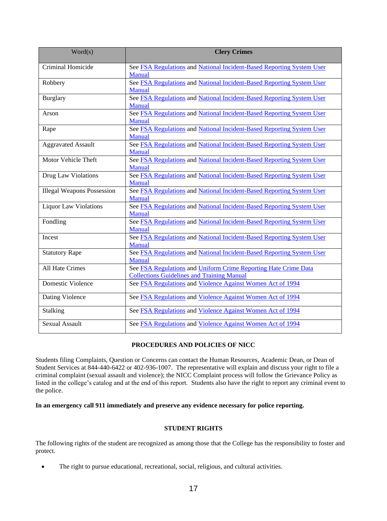| Word(s)                           | <b>Clery Crimes</b>                                                                                                  |
|-----------------------------------|----------------------------------------------------------------------------------------------------------------------|
| Criminal Homicide                 | See FSA Regulations and National Incident-Based Reporting System User<br>Manual                                      |
| Robbery                           | See FSA Regulations and National Incident-Based Reporting System User<br>Manual                                      |
| <b>Burglary</b>                   | See FSA Regulations and National Incident-Based Reporting System User<br>Manual                                      |
| Arson                             | See FSA Regulations and National Incident-Based Reporting System User<br><b>Manual</b>                               |
| Rape                              | See FSA Regulations and National Incident-Based Reporting System User<br><b>Manual</b>                               |
| <b>Aggravated Assault</b>         | See FSA Regulations and National Incident-Based Reporting System User<br><b>Manual</b>                               |
| Motor Vehicle Theft               | See FSA Regulations and National Incident-Based Reporting System User<br>Manual                                      |
| Drug Law Violations               | See FSA Regulations and National Incident-Based Reporting System User<br><b>Manual</b>                               |
| <b>Illegal Weapons Possession</b> | See FSA Regulations and National Incident-Based Reporting System User<br>Manual                                      |
| <b>Liquor Law Violations</b>      | See FSA Regulations and National Incident-Based Reporting System User<br>Manual                                      |
| Fondling                          | See FSA Regulations and National Incident-Based Reporting System User<br>Manual                                      |
| Incest                            | See FSA Regulations and National Incident-Based Reporting System User<br>Manual                                      |
| <b>Statutory Rape</b>             | See FSA Regulations and National Incident-Based Reporting System User<br>Manual                                      |
| All Hate Crimes                   | See FSA Regulations and Uniform Crime Reporting Hate Crime Data<br><b>Collections Guidelines and Training Manual</b> |
| Domestic Violence                 | See FSA Regulations and Violence Against Women Act of 1994                                                           |
| Dating Violence                   | See FSA Regulations and Violence Against Women Act of 1994                                                           |
| <b>Stalking</b>                   | See FSA Regulations and Violence Against Women Act of 1994                                                           |
| <b>Sexual Assault</b>             | See FSA Regulations and Violence Against Women Act of 1994                                                           |

## **PROCEDURES AND POLICIES OF NICC**

Students filing Complaints, Question or Concerns can contact the Human Resources, Academic Dean, or Dean of Student Services at 844-440-6422 or 402-936-1007. The representative will explain and discuss your right to file a criminal complaint (sexual assault and violence); the NICC Complaint process will follow the Grievance Policy as listed in the college's catalog and at the end of this report. Students also have the right to report any criminal event to the police.

## **In an emergency call 911 immediately and preserve any evidence necessary for police reporting.**

## **STUDENT RIGHTS**

The following rights of the student are recognized as among those that the College has the responsibility to foster and protect.

• The right to pursue educational, recreational, social, religious, and cultural activities.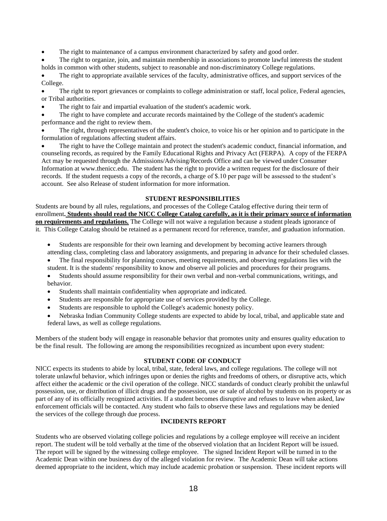The right to maintenance of a campus environment characterized by safety and good order.

• The right to organize, join, and maintain membership in associations to promote lawful interests the student holds in common with other students, subject to reasonable and non-discriminatory College regulations.

• The right to appropriate available services of the faculty, administrative offices, and support services of the College.

• The right to report grievances or complaints to college administration or staff, local police, Federal agencies, or Tribal authorities.

The right to fair and impartial evaluation of the student's academic work.

The right to have complete and accurate records maintained by the College of the student's academic performance and the right to review them.

The right, through representatives of the student's choice, to voice his or her opinion and to participate in the formulation of regulations affecting student affairs.

• The right to have the College maintain and protect the student's academic conduct, financial information, and counseling records, as required by the Family Educational Rights and Privacy Act (FERPA). A copy of the FERPA Act may be requested through the Admissions/Advising/Records Office and can be viewed under Consumer Information at [www.thenicc.edu.](http://www.thenicc.edu/) The student has the right to provide a written request for the disclosure of their records. If the student requests a copy of the records, a charge of \$.10 per page will be assessed to the student's account. See also Release of student information for more information.

## **STUDENT RESPONSIBILITIES**

Students are bound by all rules, regulations, and processes of the College Catalog effective during their term of enrollment**. Students should read the NICC College Catalog carefully, as it is their primary source of information on requirements and regulations.** The College will not waive a regulation because a student pleads ignorance of it. This College Catalog should be retained as a permanent record for reference, transfer, and graduation information.

- Students are responsible for their own learning and development by becoming active learners through
- attending class, completing class and laboratory assignments, and preparing in advance for their scheduled classes. • The final responsibility for planning courses, meeting requirements, and observing regulations lies with the
- student. It is the students' responsibility to know and observe all policies and procedures for their programs.
- Students should assume responsibility for their own verbal and non-verbal communications, writings, and behavior.
- Students shall maintain confidentiality when appropriate and indicated.
- Students are responsible for appropriate use of services provided by the College.
- Students are responsible to uphold the College's academic honesty policy.
- Nebraska Indian Community College students are expected to abide by local, tribal, and applicable state and federal laws, as well as college regulations.

Members of the student body will engage in reasonable behavior that promotes unity and ensures quality education to be the final result. The following are among the responsibilities recognized as incumbent upon every student:

#### **STUDENT CODE OF CONDUCT**

NICC expects its students to abide by local, tribal, state, federal laws, and college regulations. The college will not tolerate unlawful behavior, which infringes upon or denies the rights and freedoms of others, or disruptive acts, which affect either the academic or the civil operation of the college. NICC standards of conduct clearly prohibit the unlawful possession, use, or distribution of illicit drugs and the possession, use or sale of alcohol by students on its property or as part of any of its officially recognized activities. If a student becomes disruptive and refuses to leave when asked, law enforcement officials will be contacted. Any student who fails to observe these laws and regulations may be denied the services of the college through due process.

## **INCIDENTS REPORT**

Students who are observed violating college policies and regulations by a college employee will receive an incident report. The student will be told verbally at the time of the observed violation that an Incident Report will be issued. The report will be signed by the witnessing college employee. The signed Incident Report will be turned in to the Academic Dean within one business day of the alleged violation for review. The Academic Dean will take actions deemed appropriate to the incident, which may include academic probation or suspension. These incident reports will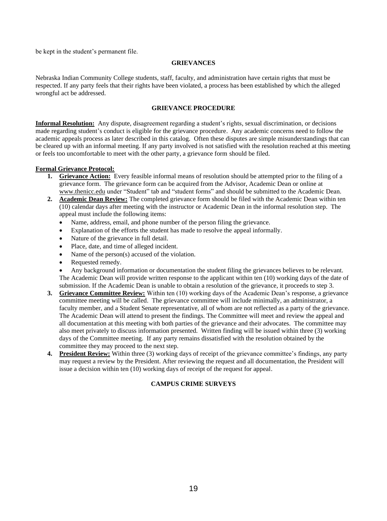be kept in the student's permanent file.

## **GRIEVANCES**

Nebraska Indian Community College students, staff, faculty, and administration have certain rights that must be respected. If any party feels that their rights have been violated, a process has been established by which the alleged wrongful act be addressed.

## **GRIEVANCE PROCEDURE**

**Informal Resolution:** Any dispute, disagreement regarding a student's rights, sexual discrimination, or decisions made regarding student's conduct is eligible for the grievance procedure. Any academic concerns need to follow the academic appeals process as later described in this catalog. Often these disputes are simple misunderstandings that can be cleared up with an informal meeting. If any party involved is not satisfied with the resolution reached at this meeting or feels too uncomfortable to meet with the other party, a grievance form should be filed.

#### **Formal Grievance Protocol:**

- **1. Grievance Action:** Every feasible informal means of resolution should be attempted prior to the filing of a grievance form. The grievance form can be acquired from the Advisor, Academic Dean or online at [www.thenicc.edu](http://www.thenicc.edu/) under "Student" tab and "student forms" and should be submitted to the Academic Dean.
- **2. Academic Dean Review:** The completed grievance form should be filed with the Academic Dean within ten (10) calendar days after meeting with the instructor or Academic Dean in the informal resolution step. The appeal must include the following items:
	- Name, address, email, and phone number of the person filing the grievance.
	- Explanation of the efforts the student has made to resolve the appeal informally.
	- Nature of the grievance in full detail.
	- Place, date, and time of alleged incident.
	- Name of the person(s) accused of the violation.
	- Requested remedy.

• Any background information or documentation the student filing the grievances believes to be relevant. The Academic Dean will provide written response to the applicant within ten (10) working days of the date of submission. If the Academic Dean is unable to obtain a resolution of the grievance, it proceeds to step 3.

- **3. Grievance Committee Review:** Within ten (10) working days of the Academic Dean's response, a grievance committee meeting will be called. The grievance committee will include minimally, an administrator, a faculty member, and a Student Senate representative, all of whom are not reflected as a party of the grievance. The Academic Dean will attend to present the findings. The Committee will meet and review the appeal and all documentation at this meeting with both parties of the grievance and their advocates. The committee may also meet privately to discuss information presented. Written finding will be issued within three (3) working days of the Committee meeting. If any party remains dissatisfied with the resolution obtained by the committee they may proceed to the next step.
- **4. President Review:** Within three (3) working days of receipt of the grievance committee's findings, any party may request a review by the President. After reviewing the request and all documentation, the President will issue a decision within ten (10) working days of receipt of the request for appeal.

## **CAMPUS CRIME SURVEYS**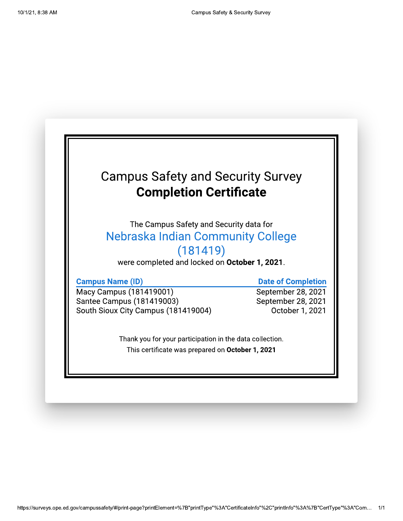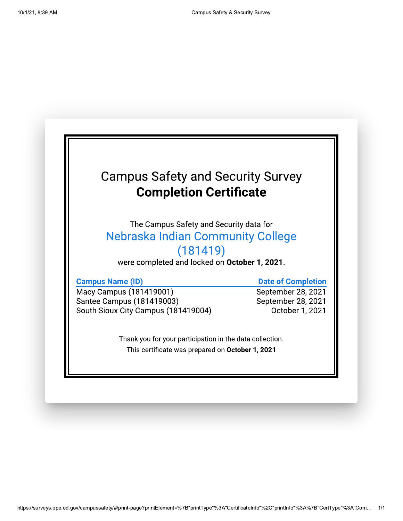